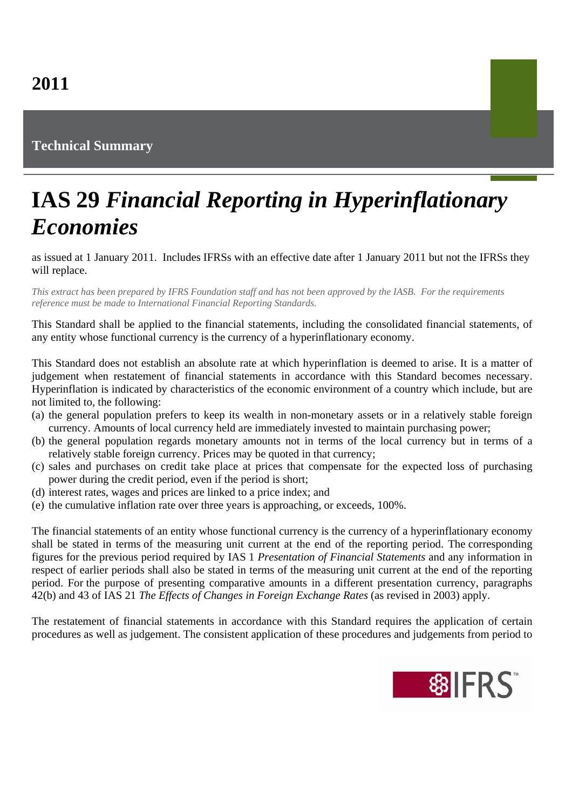## **Technical Summary**

## **IAS 29** *Financial Reporting in Hyperinflationary Economies*

as issued at 1 January 2011. Includes IFRSs with an effective date after 1 January 2011 but not the IFRSs they will replace.

*This extract has been prepared by IFRS Foundation staff and has not been approved by the IASB. For the requirements reference must be made to International Financial Reporting Standards.*

This Standard shall be applied to the financial statements, including the consolidated financial statements, of any entity whose functional currency is the currency of a hyperinflationary economy.

This Standard does not establish an absolute rate at which hyperinflation is deemed to arise. It is a matter of judgement when restatement of financial statements in accordance with this Standard becomes necessary. Hyperinflation is indicated by characteristics of the economic environment of a country which include, but are not limited to, the following:

- (a) the general population prefers to keep its wealth in non-monetary assets or in a relatively stable foreign currency. Amounts of local currency held are immediately invested to maintain purchasing power;
- (b) the general population regards monetary amounts not in terms of the local currency but in terms of a relatively stable foreign currency. Prices may be quoted in that currency;
- (c) sales and purchases on credit take place at prices that compensate for the expected loss of purchasing power during the credit period, even if the period is short;
- (d) interest rates, wages and prices are linked to a price index; and
- (e) the cumulative inflation rate over three years is approaching, or exceeds, 100%.

The financial statements of an entity whose functional currency is the currency of a hyperinflationary economy shall be stated in terms of the measuring unit current at the end of the reporting period. The corresponding figures for the previous period required by IAS 1 *Presentation of Financial Statements* and any information in respect of earlier periods shall also be stated in terms of the measuring unit current at the end of the reporting period. For the purpose of presenting comparative amounts in a different presentation currency, paragraphs 42(b) and 43 of IAS 21 *The Effects of Changes in Foreign Exchange Rates* (as revised in 2003) apply.

The restatement of financial statements in accordance with this Standard requires the application of certain procedures as well as judgement. The consistent application of these procedures and judgements from period to